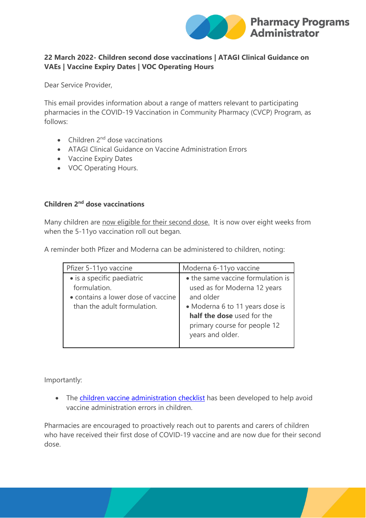

## **22 March 2022- Children second dose vaccinations | ATAGI Clinical Guidance on VAEs | Vaccine Expiry Dates | VOC Operating Hours**

Dear Service Provider,

This email provides information about a range of matters relevant to participating pharmacies in the COVID-19 Vaccination in Community Pharmacy (CVCP) Program, as follows:

- Children  $2<sup>nd</sup>$  dose vaccinations
- ATAGI Clinical Guidance on Vaccine Administration Errors
- Vaccine Expiry Dates
- VOC Operating Hours.

# **Children 2nd dose vaccinations**

Many children are now eligible for their second dose. It is now over eight weeks from when the 5-11yo vaccination roll out began.

A reminder both Pfizer and Moderna can be administered to children, noting:

| Pfizer 5-11yo vaccine              | Moderna 6-11yo vaccine            |
|------------------------------------|-----------------------------------|
| · is a specific paediatric         | • the same vaccine formulation is |
| formulation.                       | used as for Moderna 12 years      |
| • contains a lower dose of vaccine | and older                         |
| than the adult formulation.        | • Moderna 6 to 11 years dose is   |
|                                    | half the dose used for the        |
|                                    | primary course for people 12      |
|                                    | years and older.                  |
|                                    |                                   |

Importantly:

• The [children vaccine administration checklist](https://www.ppaonline.com.au/wp-content/uploads/2022/03/COVID-Children-Vaccine-Administration-Checklist-Poster.pdf) has been developed to help avoid vaccine administration errors in children.

Pharmacies are encouraged to proactively reach out to parents and carers of children who have received their first dose of COVID-19 vaccine and are now due for their second dose.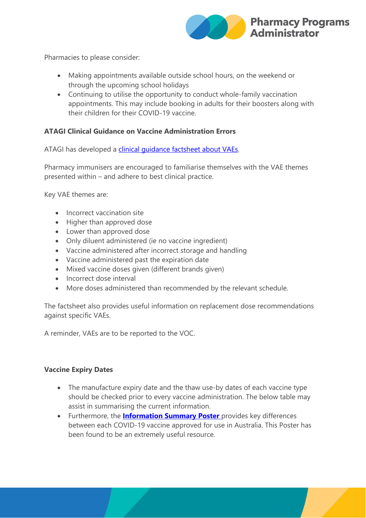

Pharmacies to please consider:

- Making appointments available outside school hours, on the weekend or through the upcoming school holidays
- Continuing to utilise the opportunity to conduct whole-family vaccination appointments. This may include booking in adults for their boosters along with their children for their COVID-19 vaccine.

#### **ATAGI Clinical Guidance on Vaccine Administration Errors**

ATAGI has developed a clinical quidance factsheet about VAEs.

Pharmacy immunisers are encouraged to familiarise themselves with the VAE themes presented within – and adhere to best clinical practice.

Key VAE themes are:

- Incorrect vaccination site
- Higher than approved dose
- Lower than approved dose
- Only diluent administered (ie no vaccine ingredient)
- Vaccine administered after incorrect storage and handling
- Vaccine administered past the expiration date
- Mixed vaccine doses given (different brands given)
- Incorrect dose interval
- More doses administered than recommended by the relevant schedule.

The factsheet also provides useful information on replacement dose recommendations against specific VAEs.

A reminder, VAEs are to be reported to the VOC.

#### **Vaccine Expiry Dates**

- The manufacture expiry date and the thaw use-by dates of each vaccine type should be checked prior to every vaccine administration. The below table may assist in summarising the current information.
- Furthermore, the **[Information Summary Poster](https://protect-au.mimecast.com/s/zD4ICMwGv1U66qnsk-Qh1?domain=ppaonline.com.au)** provides key differences between each COVID-19 vaccine approved for use in Australia. This Poster has been found to be an extremely useful resource.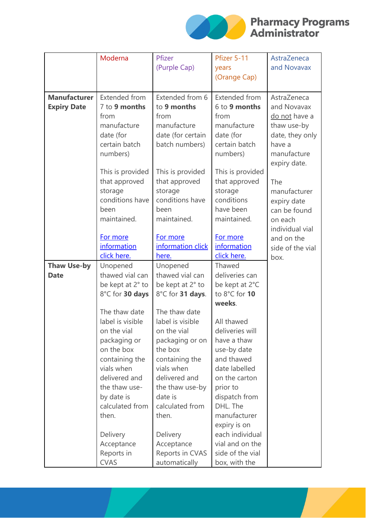

# **Solar Pharmacy Programs**

|                     | Moderna          | Pfizer            | Pfizer 5-11      | AstraZeneca      |
|---------------------|------------------|-------------------|------------------|------------------|
|                     |                  | (Purple Cap)      | years            | and Novavax      |
|                     |                  |                   | (Orange Cap)     |                  |
|                     |                  |                   |                  |                  |
| <b>Manufacturer</b> | Extended from    | Extended from 6   | Extended from    | AstraZeneca      |
| <b>Expiry Date</b>  | 7 to 9 months    | to 9 months       | 6 to 9 months    | and Novavax      |
|                     | from             | from              | from             | do not have a    |
|                     | manufacture      | manufacture       | manufacture      | thaw use-by      |
|                     | date (for        | date (for certain | date (for        | date, they only  |
|                     | certain batch    | batch numbers)    | certain batch    | have a           |
|                     | numbers)         |                   | numbers)         | manufacture      |
|                     |                  |                   |                  | expiry date.     |
|                     | This is provided | This is provided  | This is provided |                  |
|                     | that approved    | that approved     | that approved    | The              |
|                     | storage          | storage           | storage          | manufacturer     |
|                     | conditions have  | conditions have   | conditions       | expiry date      |
|                     | been             | been              | have been        | can be found     |
|                     | maintained.      | maintained.       | maintained.      | on each          |
|                     |                  |                   |                  | individual vial  |
|                     | For more         | For more          | For more         | and on the       |
|                     | information      | information click | information      | side of the vial |
|                     | click here.      | here.             | click here.      | box.             |
| <b>Thaw Use-by</b>  | Unopened         | Unopened          | Thawed           |                  |
| <b>Date</b>         | thawed vial can  | thawed vial can   | deliveries can   |                  |
|                     | be kept at 2° to | be kept at 2° to  | be kept at 2°C   |                  |
|                     | 8°C for 30 days  | 8°C for 31 days.  | to 8°C for 10    |                  |
|                     | The thaw date    | The thaw date     | weeks.           |                  |
|                     | label is visible | label is visible  | All thawed       |                  |
|                     | on the vial      | on the vial       | deliveries will  |                  |
|                     | packaging or     | packaging or on   | have a thaw      |                  |
|                     | on the box       | the box           | use-by date      |                  |
|                     | containing the   | containing the    | and thawed       |                  |
|                     | vials when       | vials when        | date labelled    |                  |
|                     | delivered and    | delivered and     | on the carton    |                  |
|                     | the thaw use-    | the thaw use-by   | prior to         |                  |
|                     | by date is       | date is           | dispatch from    |                  |
|                     | calculated from  | calculated from   | DHL. The         |                  |
|                     | then.            | then.             | manufacturer     |                  |
|                     |                  |                   | expiry is on     |                  |
|                     | Delivery         | Delivery          | each individual  |                  |
|                     | Acceptance       | Acceptance        | vial and on the  |                  |
|                     | Reports in       | Reports in CVAS   | side of the vial |                  |
|                     | <b>CVAS</b>      | automatically     | box, with the    |                  |